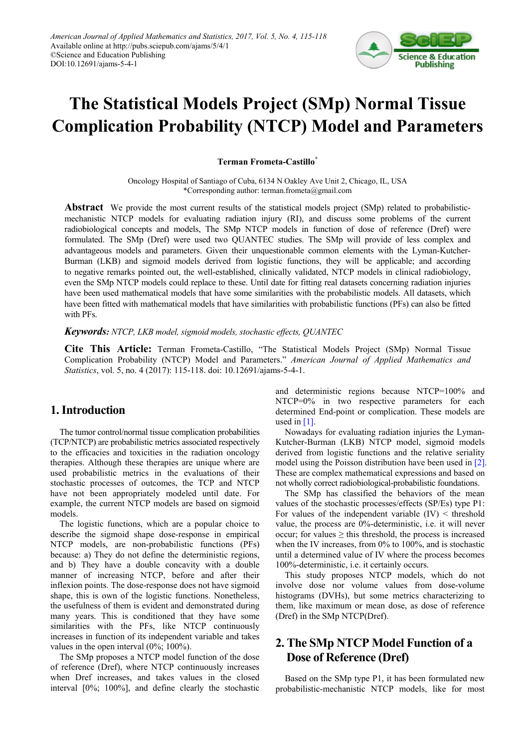

# **The Statistical Models Project (SMp) Normal Tissue Complication Probability (NTCP) Model and Parameters**

#### **Terman Frometa-Castillo\***

Oncology Hospital of Santiago of Cuba, 6134 N Oakley Ave Unit 2, Chicago, IL, USA \*Corresponding author: terman.frometa@gmail.com

**Abstract** We provide the most current results of the statistical models project (SMp) related to probabilisticmechanistic NTCP models for evaluating radiation injury (RI), and discuss some problems of the current radiobiological concepts and models, The SMp NTCP models in function of dose of reference (Dref) were formulated. The SMp (Dref) were used two QUANTEC studies. The SMp will provide of less complex and advantageous models and parameters. Given their unquestionable common elements with the Lyman-Kutcher-Burman (LKB) and sigmoid models derived from logistic functions, they will be applicable; and according to negative remarks pointed out, the well-established, clinically validated, NTCP models in clinical radiobiology, even the SMp NTCP models could replace to these. Until date for fitting real datasets concerning radiation injuries have been used mathematical models that have some similarities with the probabilistic models. All datasets, which have been fitted with mathematical models that have similarities with probabilistic functions (PFs) can also be fitted with PFs.

#### *Keywords: NTCP, LKB model, sigmoid models, stochastic effects, QUANTEC*

**Cite This Article:** Terman Frometa-Castillo, "The Statistical Models Project (SMp) Normal Tissue Complication Probability (NTCP) Model and Parameters." *American Journal of Applied Mathematics and Statistics*, vol. 5, no. 4 (2017): 115-118. doi: 10.12691/ajams-5-4-1.

#### **1. Introduction**

The tumor control/normal tissue complication probabilities (TCP/NTCP) are probabilistic metrics associated respectively to the efficacies and toxicities in the radiation oncology therapies. Although these therapies are unique where are used probabilistic metrics in the evaluations of their stochastic processes of outcomes, the TCP and NTCP have not been appropriately modeled until date. For example, the current NTCP models are based on sigmoid models.

The logistic functions, which are a popular choice to describe the sigmoid shape dose-response in empirical NTCP models, are non-probabilistic functions (PFs) because: a) They do not define the deterministic regions, and b) They have a double concavity with a double manner of increasing NTCP, before and after their inflexion points. The dose-response does not have sigmoid shape, this is own of the logistic functions. Nonetheless, the usefulness of them is evident and demonstrated during many years. This is conditioned that they have some similarities with the PFs, like NTCP continuously increases in function of its independent variable and takes values in the open interval (0%; 100%).

The SMp proposes a NTCP model function of the dose of reference (Dref), where NTCP continuously increases when Dref increases, and takes values in the closed interval [0%; 100%], and define clearly the stochastic

and deterministic regions because NTCP=100% and NTCP=0% in two respective parameters for each determined End-point or complication. These models are used in  $[1]$ .

Nowadays for evaluating radiation injuries the Lyman-Kutcher-Burman (LKB) NTCP model, sigmoid models derived from logistic functions and the relative seriality model using the Poisson distribution have been used in [\[2\].](#page-3-1) These are complex mathematical expressions and based on not wholly correct radiobiological-probabilistic foundations.

The SMp has classified the behaviors of the mean values of the stochastic processes/effects (SP/Es) type P1: For values of the independent variable  $(IV)$  < threshold value, the process are 0%-deterministic, i.e. it will never occur; for values  $\geq$  this threshold, the process is increased when the IV increases, from 0% to 100%, and is stochastic until a determined value of IV where the process becomes 100%-deterministic, i.e. it certainly occurs.

This study proposes NTCP models, which do not involve dose nor volume values from dose-volume histograms (DVHs), but some metrics characterizing to them, like maximum or mean dose, as dose of reference (Dref) in the SMp NTCP(Dref).

# **2. The SMp NTCP Model Function of a Dose of Reference (Dref)**

Based on the SMp type P1, it has been formulated new probabilistic-mechanistic NTCP models, like for most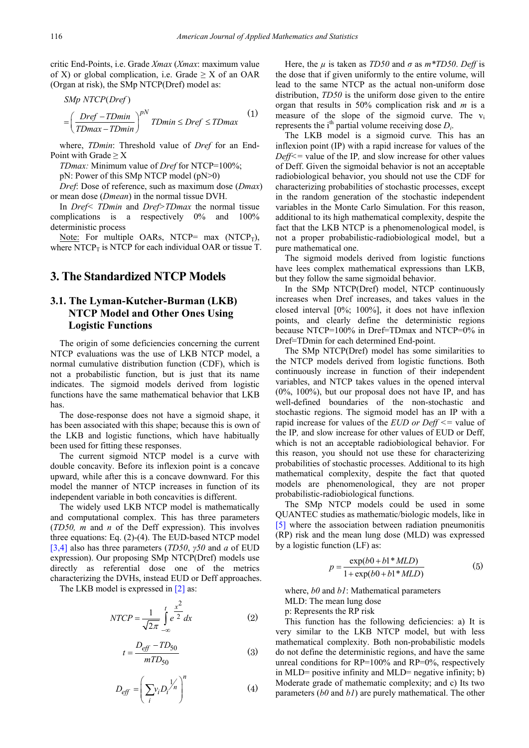critic End-Points, i.e. Grade *Xmax* (*Xmax*: maximum value of X) or global complication, i.e. Grade  $\geq X$  of an OAR (Organ at risk), the SMp NTCP(Dref) model as:

$$
SMp NTCP(Dref)
$$
  
=  $\left(\frac{Dref - TDmin}{TDmax - TDmin}\right)^{pN} TDmin \le Dref \le TDmax$  (1)

where, *TDmin*: Threshold value of *Dref* for an End-Point with Grade  $\geq X$ 

*TDmax:* Minimum value of *Dref* for NTCP=100%;

pN: Power of this SMp NTCP model (pN>0)

*Dref*: Dose of reference, such as maximum dose (*Dmax*) or mean dose (*Dmean*) in the normal tissue DVH.

In *Dref< TDmin* and *Dref>TDmax* the normal tissue complications is a respectively 0% and 100% deterministic process

Note: For multiple OARs, NTCP= max  $(NTCP_T)$ , where NTCP $_T$  is NTCP for each individual OAR or tissue T.

## **3. The Standardized NTCP Models**

## **3.1. The Lyman-Kutcher-Burman (LKB) NTCP Model and Other Ones Using Logistic Functions**

The origin of some deficiencies concerning the current NTCP evaluations was the use of LKB NTCP model, a normal cumulative distribution function (CDF), which is not a probabilistic function, but is just that its name indicates. The sigmoid models derived from logistic functions have the same mathematical behavior that LKB has.

The dose-response does not have a sigmoid shape, it has been associated with this shape; because this is own of the LKB and logistic functions, which have habitually been used for fitting these responses.

The current sigmoid NTCP model is a curve with double concavity. Before its inflexion point is a concave upward, while after this is a concave downward. For this model the manner of NTCP increases in function of its independent variable in both concavities is different.

The widely used LKB NTCP model is mathematically and computational complex. This has three parameters (*TD50, m* and *n* of the Deff expression). This involves three equations: Eq. (2)-(4). The EUD-based NTCP model [\[3,4\]](#page-3-2) also has three parameters (*TD50*, *γ50* and *a* of EUD expression). Our proposing SMp NTCP(Dref) models use directly as referential dose one of the metrics characterizing the DVHs, instead EUD or Deff approaches.

The LKB model is expressed i[n \[2\]](#page-3-1) as:

$$
NTCP = \frac{1}{\sqrt{2\pi}} \int_{-\infty}^{t} e^{\frac{x^2}{2}} dx
$$
 (2)

$$
t = \frac{D_{\text{eff}} - TD_{50}}{mTD_{50}}\tag{3}
$$

$$
D_{\text{eff}} = \left(\sum_{i} v_i D_i \frac{1}{n}\right)^n \tag{4}
$$

Here, the  $\mu$  is taken as *TD50* and  $\sigma$  as  $m*TDS0$ . *Deff* is the dose that if given uniformly to the entire volume, will lead to the same NTCP as the actual non-uniform dose distribution, *TD50* is the uniform dose given to the entire organ that results in 50% complication risk and *m* is a measure of the slope of the sigmoid curve. The vi represents the i<sup>th</sup> partial volume receiving dose  $D_i$ .

The LKB model is a sigmoid curve*.* This has an inflexion point (IP) with a rapid increase for values of the *Deff<=* value of the IP*,* and slow increase for other values of Deff. Given the sigmoidal behavior is not an acceptable radiobiological behavior, you should not use the CDF for characterizing probabilities of stochastic processes, except in the random generation of the stochastic independent variables in the Monte Carlo Simulation. For this reason, additional to its high mathematical complexity, despite the fact that the LKB NTCP is a phenomenological model, is not a proper probabilistic-radiobiological model, but a pure mathematical one.

The sigmoid models derived from logistic functions have lees complex mathematical expressions than LKB, but they follow the same sigmoidal behavior.

In the SMp NTCP(Dref) model, NTCP continuously increases when Dref increases, and takes values in the closed interval [0%; 100%], it does not have inflexion points, and clearly define the deterministic regions because NTCP=100% in Dref=TDmax and NTCP=0% in Dref=TDmin for each determined End-point.

The SMp NTCP(Dref) model has some similarities to the NTCP models derived from logistic functions. Both continuously increase in function of their independent variables, and NTCP takes values in the opened interval (0%, 100%), but our proposal does not have IP, and has well-defined boundaries of the non-stochastic and stochastic regions. The sigmoid model has an IP with a rapid increase for values of the *EUD or Deff <=* value of the IP*,* and slow increase for other values of EUD or Deff, which is not an acceptable radiobiological behavior. For this reason, you should not use these for characterizing probabilities of stochastic processes. Additional to its high mathematical complexity, despite the fact that quoted models are phenomenological, they are not proper probabilistic-radiobiological functions.

The SMp NTCP models could be used in some QUANTEC studies as mathematic/biologic models, like in [\[5\]](#page-3-3) where the association between radiation pneumonitis (RP) risk and the mean lung dose (MLD) was expressed by a logistic function (LF) as:

$$
p = \frac{\exp(b0 + b1 * MLD)}{1 + \exp(b0 + b1 * MLD)}
$$
(5)

where, *b0* and *b1*: Mathematical parameters MLD: The mean lung dose

p: Represents the RP risk

This function has the following deficiencies: a) It is very similar to the LKB NTCP model, but with less mathematical complexity. Both non-probabilistic models do not define the deterministic regions, and have the same unreal conditions for  $RP=100\%$  and  $RP=0\%$ , respectively in MLD= positive infinity and MLD= negative infinity; b) Moderate grade of mathematic complexity; and c) Its two parameters (*b0* and *b1*) are purely mathematical. The other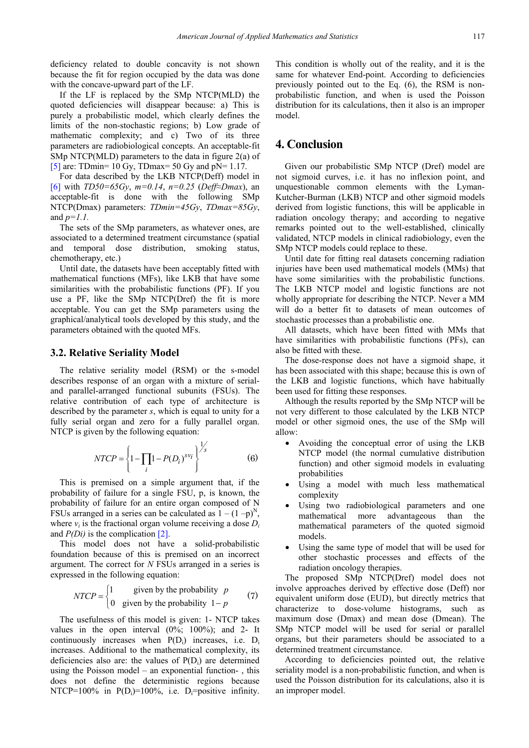deficiency related to double concavity is not shown because the fit for region occupied by the data was done with the concave-upward part of the LF.

If the LF is replaced by the SMp NTCP(MLD) the quoted deficiencies will disappear because: a) This is purely a probabilistic model, which clearly defines the limits of the non-stochastic regions; b) Low grade of mathematic complexity; and c) Two of its three parameters are radiobiological concepts. An acceptable-fit SMp NTCP(MLD) parameters to the data in figure 2(a) of [\[5\]](#page-3-3) are: TDmin= 10 Gy, TDmax= 50 Gy and  $pN=1.17$ .

For data described by the LKB NTCP(Deff) model in [\[6\]](#page-3-4) with *TD50=65Gy*, *m=0.14*, *n=0.25* (*Deff≈Dmax*), an acceptable-fit is done with the following SMp NTCP(Dmax) parameters: *TDmin=45Gy*, *TDmax=85Gy*, and *p=1.1.*

The sets of the SMp parameters, as whatever ones, are associated to a determined treatment circumstance (spatial and temporal dose distribution, smoking status, chemotherapy, etc.)

Until date, the datasets have been acceptably fitted with mathematical functions (MFs), like LKB that have some similarities with the probabilistic functions (PF). If you use a PF, like the SMp NTCP(Dref) the fit is more acceptable. You can get the SMp parameters using the graphical/analytical tools developed by this study, and the parameters obtained with the quoted MFs.

#### **3.2. Relative Seriality Model**

The relative seriality model (RSM) or the s-model describes response of an organ with a mixture of serialand parallel-arranged functional subunits (FSUs). The relative contribution of each type of architecture is described by the parameter *s*, which is equal to unity for a fully serial organ and zero for a fully parallel organ. NTCP is given by the following equation:

$$
NTCP = \left\{1 - \prod_{i} (1 - P(D_i))^{s v_i}\right\}^{\frac{1}{s}} \tag{6}
$$

This is premised on a simple argument that, if the probability of failure for a single FSU, p, is known, the probability of failure for an entire organ composed of N FSUs arranged in a series can be calculated as  $1 - (1 - p)^N$ . where  $v_i$  is the fractional organ volume receiving a dose  $D_i$ and *P(Di)* is the complication [\[2\].](#page-3-1)

This model does not have a solid-probabilistic foundation because of this is premised on an incorrect argument. The correct for *N* FSUs arranged in a series is expressed in the following equation:

$$
NTCP = \begin{cases} 1 & \text{given by the probability } p \\ 0 & \text{given by the probability } 1 - p \end{cases} \tag{7}
$$

The usefulness of this model is given: 1- NTCP takes values in the open interval  $(0\%; 100\%)$ ; and 2- It continuously increases when  $P(D_i)$  increases, i.e.  $D_i$ increases. Additional to the mathematical complexity, its deficiencies also are: the values of  $P(D_i)$  are determined using the Poisson model – an exponential function- , this does not define the deterministic regions because NTCP=100% in  $P(D_i)=100\%$ , i.e.  $D_i=$ positive infinity. This condition is wholly out of the reality, and it is the same for whatever End-point. According to deficiencies previously pointed out to the Eq. (6), the RSM is nonprobabilistic function, and when is used the Poisson distribution for its calculations, then it also is an improper model.

## **4. Conclusion**

Given our probabilistic SMp NTCP (Dref) model are not sigmoid curves, i.e. it has no inflexion point, and unquestionable common elements with the Lyman-Kutcher-Burman (LKB) NTCP and other sigmoid models derived from logistic functions, this will be applicable in radiation oncology therapy; and according to negative remarks pointed out to the well-established, clinically validated, NTCP models in clinical radiobiology, even the SMp NTCP models could replace to these.

Until date for fitting real datasets concerning radiation injuries have been used mathematical models (MMs) that have some similarities with the probabilistic functions. The LKB NTCP model and logistic functions are not wholly appropriate for describing the NTCP. Never a MM will do a better fit to datasets of mean outcomes of stochastic processes than a probabilistic one.

All datasets, which have been fitted with MMs that have similarities with probabilistic functions (PFs), can also be fitted with these.

The dose-response does not have a sigmoid shape, it has been associated with this shape; because this is own of the LKB and logistic functions, which have habitually been used for fitting these responses.

Although the results reported by the SMp NTCP will be not very different to those calculated by the LKB NTCP model or other sigmoid ones, the use of the SMp will allow:

- Avoiding the conceptual error of using the LKB NTCP model (the normal cumulative distribution function) and other sigmoid models in evaluating probabilities
- Using a model with much less mathematical complexity
- Using two radiobiological parameters and one mathematical more advantageous than the mathematical parameters of the quoted sigmoid models.
- Using the same type of model that will be used for other stochastic processes and effects of the radiation oncology therapies.

The proposed SMp NTCP(Dref) model does not involve approaches derived by effective dose (Deff) nor equivalent uniform dose (EUD), but directly metrics that characterize to dose-volume histograms, such as maximum dose (Dmax) and mean dose (Dmean). The SMp NTCP model will be used for serial or parallel organs, but their parameters should be associated to a determined treatment circumstance.

According to deficiencies pointed out, the relative seriality model is a non-probabilistic function, and when is used the Poisson distribution for its calculations, also it is an improper model.